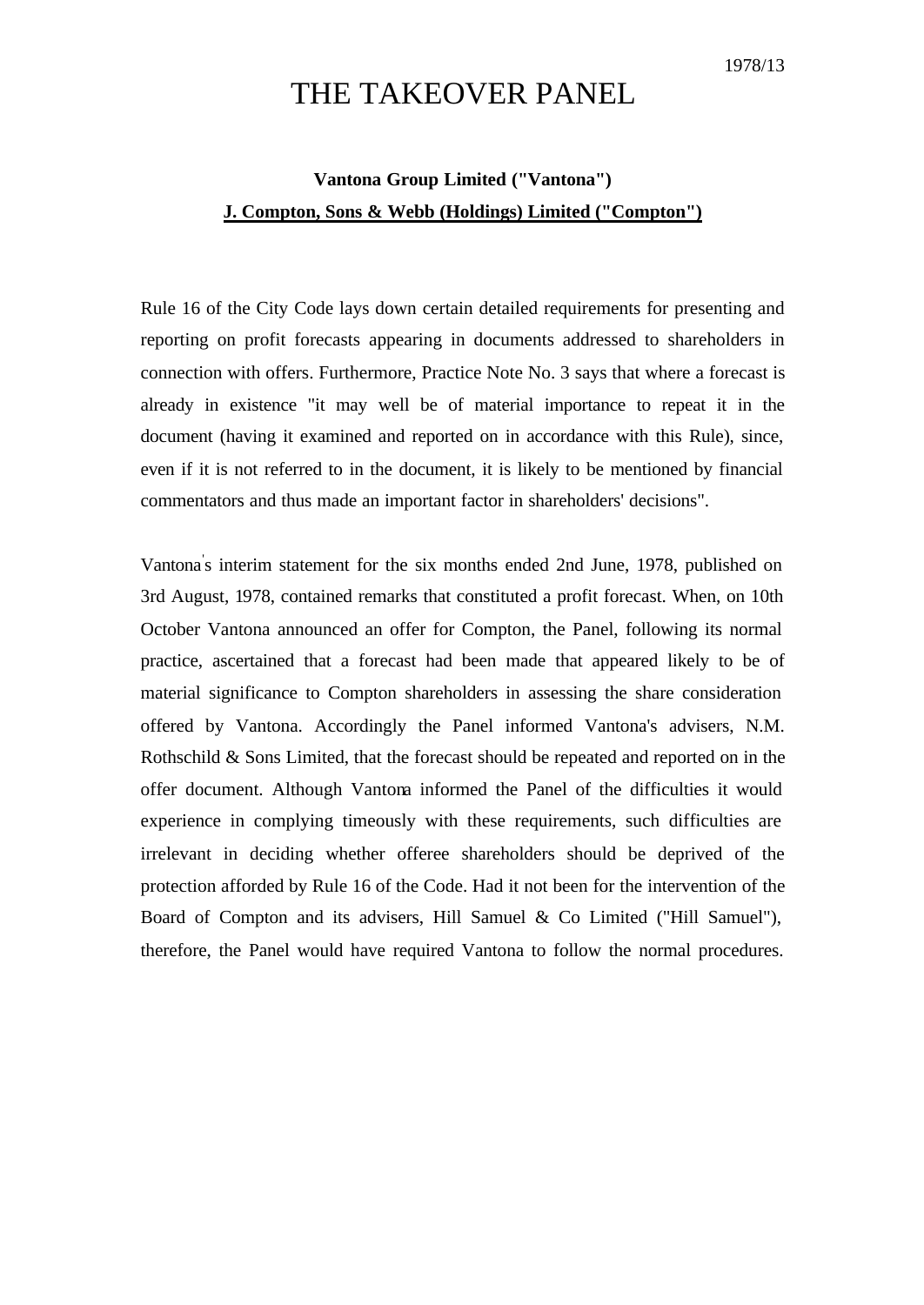## THE TAKEOVER PANEL

## **Vantona Group Limited ("Vantona") J. Compton, Sons & Webb (Holdings) Limited ("Compton")**

Rule 16 of the City Code lays down certain detailed requirements for presenting and reporting on profit forecasts appearing in documents addressed to shareholders in connection with offers. Furthermore, Practice Note No. 3 says that where a forecast is already in existence "it may well be of material importance to repeat it in the document (having it examined and reported on in accordance with this Rule), since, even if it is not referred to in the document, it is likely to be mentioned by financial commentators and thus made an important factor in shareholders' decisions".

Vantona' s interim statement for the six months ended 2nd June, 1978, published on 3rd August, 1978, contained remarks that constituted a profit forecast. When, on 10th October Vantona announced an offer for Compton, the Panel, following its normal practice, ascertained that a forecast had been made that appeared likely to be of material significance to Compton shareholders in assessing the share consideration offered by Vantona. Accordingly the Panel informed Vantona's advisers, N.M. Rothschild & Sons Limited, that the forecast should be repeated and reported on in the offer document. Although Vantona informed the Panel of the difficulties it would experience in complying timeously with these requirements, such difficulties are irrelevant in deciding whether offeree shareholders should be deprived of the protection afforded by Rule 16 of the Code. Had it not been for the intervention of the Board of Compton and its advisers, Hill Samuel & Co Limited ("Hill Samuel"), therefore, the Panel would have required Vantona to follow the normal procedures.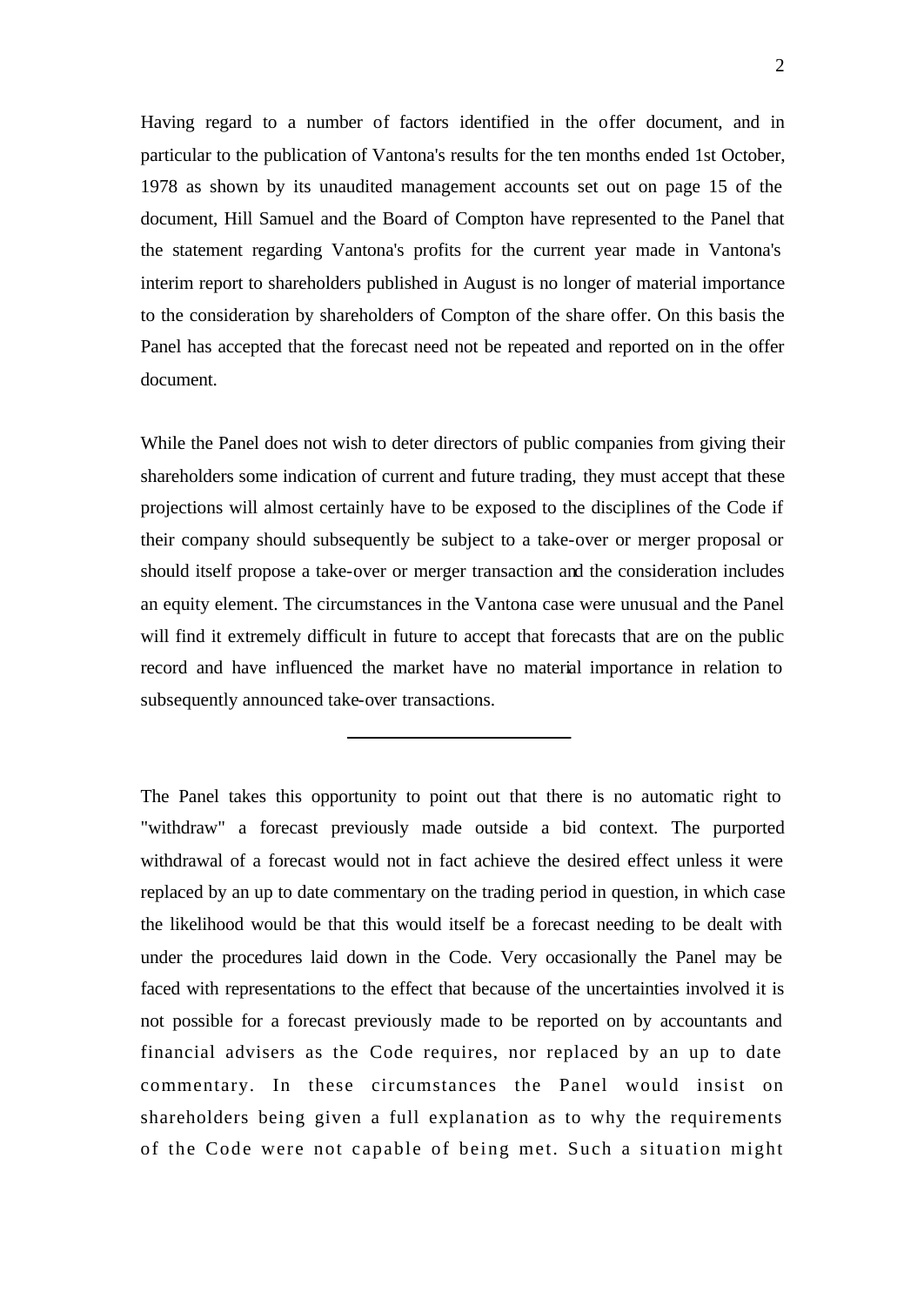Having regard to a number of factors identified in the offer document, and in particular to the publication of Vantona's results for the ten months ended 1st October, 1978 as shown by its unaudited management accounts set out on page 15 of the document, Hill Samuel and the Board of Compton have represented to the Panel that the statement regarding Vantona's profits for the current year made in Vantona's interim report to shareholders published in August is no longer of material importance to the consideration by shareholders of Compton of the share offer. On this basis the Panel has accepted that the forecast need not be repeated and reported on in the offer document.

While the Panel does not wish to deter directors of public companies from giving their shareholders some indication of current and future trading, they must accept that these projections will almost certainly have to be exposed to the disciplines of the Code if their company should subsequently be subject to a take-over or merger proposal or should itself propose a take-over or merger transaction and the consideration includes an equity element. The circumstances in the Vantona case were unusual and the Panel will find it extremely difficult in future to accept that forecasts that are on the public record and have influenced the market have no material importance in relation to subsequently announced take-over transactions.

The Panel takes this opportunity to point out that there is no automatic right to "withdraw" a forecast previously made outside a bid context. The purported withdrawal of a forecast would not in fact achieve the desired effect unless it were replaced by an up to date commentary on the trading period in question, in which case the likelihood would be that this would itself be a forecast needing to be dealt with under the procedures laid down in the Code. Very occasionally the Panel may be faced with representations to the effect that because of the uncertainties involved it is not possible for a forecast previously made to be reported on by accountants and financial advisers as the Code requires, nor replaced by an up to date commentary. In these circumstances the Panel would insist on shareholders being given a full explanation as to why the requirements of the Code were not capable of being met. Such a situation might